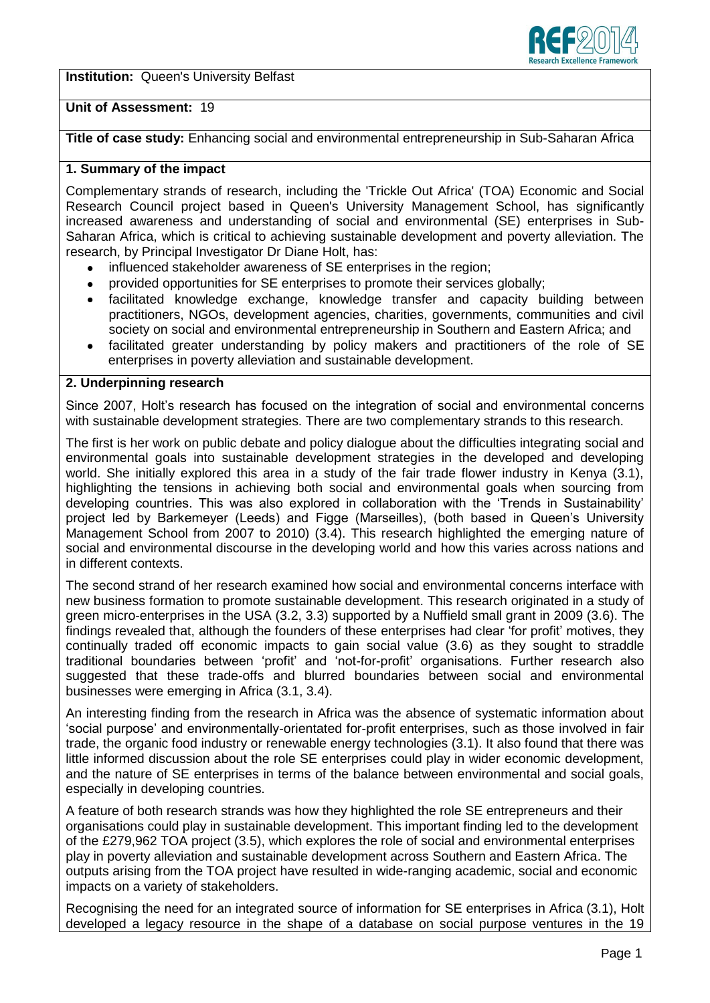**Institution:** Queen's University Belfast



# **Unit of Assessment:** 19

**Title of case study:** Enhancing social and environmental entrepreneurship in Sub-Saharan Africa

# **1. Summary of the impact**

Complementary strands of research, including the 'Trickle Out Africa' (TOA) Economic and Social Research Council project based in Queen's University Management School, has significantly increased awareness and understanding of social and environmental (SE) enterprises in Sub-Saharan Africa, which is critical to achieving sustainable development and poverty alleviation. The research, by Principal Investigator Dr Diane Holt, has:

- influenced stakeholder awareness of SE enterprises in the region;
- provided opportunities for SE enterprises to promote their services globally;
- facilitated knowledge exchange, knowledge transfer and capacity building between  $\bullet$ practitioners, NGOs, development agencies, charities, governments, communities and civil society on social and environmental entrepreneurship in Southern and Eastern Africa; and
- facilitated greater understanding by policy makers and practitioners of the role of SE enterprises in poverty alleviation and sustainable development.

## **2. Underpinning research**

Since 2007, Holt's research has focused on the integration of social and environmental concerns with sustainable development strategies. There are two complementary strands to this research.

The first is her work on public debate and policy dialogue about the difficulties integrating social and environmental goals into sustainable development strategies in the developed and developing world. She initially explored this area in a study of the fair trade flower industry in Kenya (3.1), highlighting the tensions in achieving both social and environmental goals when sourcing from developing countries. This was also explored in collaboration with the 'Trends in Sustainability' project led by Barkemeyer (Leeds) and Figge (Marseilles), (both based in Queen's University Management School from 2007 to 2010) (3.4). This research highlighted the emerging nature of social and environmental discourse in the developing world and how this varies across nations and in different contexts.

The second strand of her research examined how social and environmental concerns interface with new business formation to promote sustainable development. This research originated in a study of green micro-enterprises in the USA (3.2, 3.3) supported by a Nuffield small grant in 2009 (3.6). The findings revealed that, although the founders of these enterprises had clear 'for profit' motives, they continually traded off economic impacts to gain social value (3.6) as they sought to straddle traditional boundaries between 'profit' and 'not-for-profit' organisations. Further research also suggested that these trade-offs and blurred boundaries between social and environmental businesses were emerging in Africa (3.1, 3.4).

An interesting finding from the research in Africa was the absence of systematic information about 'social purpose' and environmentally-orientated for-profit enterprises, such as those involved in fair trade, the organic food industry or renewable energy technologies (3.1). It also found that there was little informed discussion about the role SE enterprises could play in wider economic development, and the nature of SE enterprises in terms of the balance between environmental and social goals, especially in developing countries.

A feature of both research strands was how they highlighted the role SE entrepreneurs and their organisations could play in sustainable development. This important finding led to the development of the £279,962 TOA project (3.5), which explores the role of social and environmental enterprises play in poverty alleviation and sustainable development across Southern and Eastern Africa. The outputs arising from the TOA project have resulted in wide-ranging academic, social and economic impacts on a variety of stakeholders.

Recognising the need for an integrated source of information for SE enterprises in Africa (3.1), Holt developed a legacy resource in the shape of a database on social purpose ventures in the 19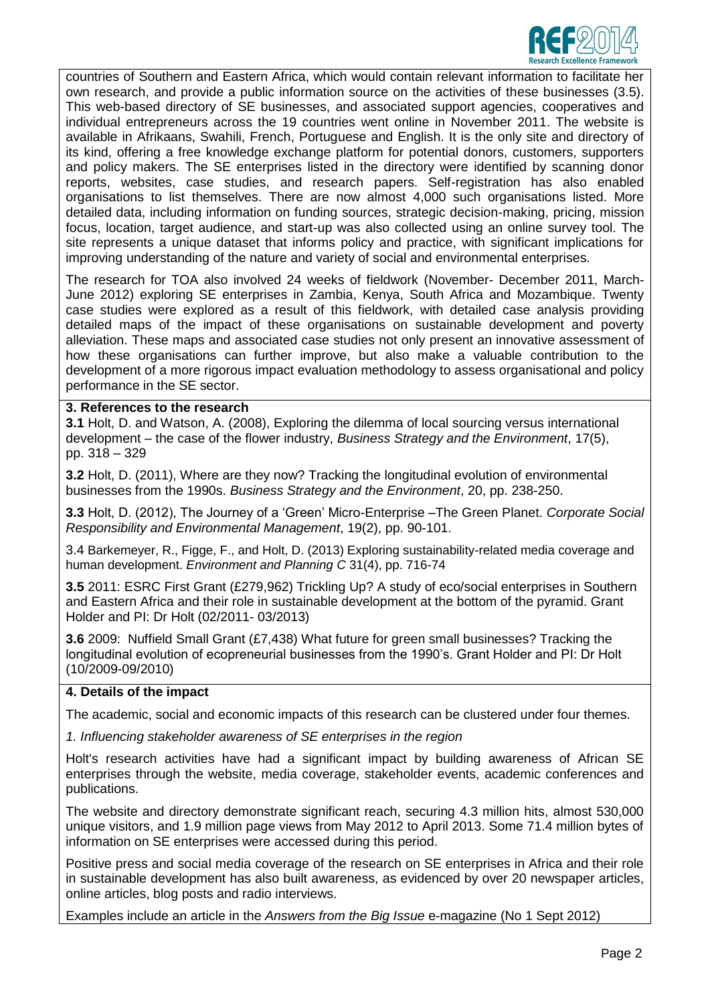

countries of Southern and Eastern Africa, which would contain relevant information to facilitate her own research, and provide a public information source on the activities of these businesses (3.5). This web-based directory of SE businesses, and associated support agencies, cooperatives and individual entrepreneurs across the 19 countries went online in November 2011. The website is available in Afrikaans, Swahili, French, Portuguese and English. It is the only site and directory of its kind, offering a free knowledge exchange platform for potential donors, customers, supporters and policy makers. The SE enterprises listed in the directory were identified by scanning donor reports, websites, case studies, and research papers. Self-registration has also enabled organisations to list themselves. There are now almost 4,000 such organisations listed. More detailed data, including information on funding sources, strategic decision-making, pricing, mission focus, location, target audience, and start-up was also collected using an online survey tool. The site represents a unique dataset that informs policy and practice, with significant implications for improving understanding of the nature and variety of social and environmental enterprises.

The research for TOA also involved 24 weeks of fieldwork (November- December 2011, March-June 2012) exploring SE enterprises in Zambia, Kenya, South Africa and Mozambique. Twenty case studies were explored as a result of this fieldwork, with detailed case analysis providing detailed maps of the impact of these organisations on sustainable development and poverty alleviation. These maps and associated case studies not only present an innovative assessment of how these organisations can further improve, but also make a valuable contribution to the development of a more rigorous impact evaluation methodology to assess organisational and policy performance in the SE sector.

#### **3. References to the research**

**3.1** Holt, D. and Watson, A. (2008), Exploring the dilemma of local sourcing versus international development – the case of the flower industry, *Business Strategy and the Environment*, 17(5), pp. 318 – 329

**3.2** Holt, D. (2011), Where are they now? Tracking the longitudinal evolution of environmental businesses from the 1990s. *Business Strategy and the Environment*, 20, pp. 238-250.

**3.3** Holt, D. (2012), The Journey of a 'Green' Micro-Enterprise –The Green Planet. *Corporate Social Responsibility and Environmental Management*, 19(2), pp. 90-101.

3.4 Barkemeyer, R., Figge, F., and Holt, D. (2013) Exploring sustainability-related media coverage and human development. *Environment and Planning C* 31(4), pp. 716-74

**3.5** 2011: ESRC First Grant (£279,962) Trickling Up? A study of eco/social enterprises in Southern and Eastern Africa and their role in sustainable development at the bottom of the pyramid. Grant Holder and PI: Dr Holt (02/2011- 03/2013)

**3.6** 2009: Nuffield Small Grant (£7,438) What future for green small businesses? Tracking the longitudinal evolution of ecopreneurial businesses from the 1990's. Grant Holder and PI: Dr Holt (10/2009-09/2010)

## **4. Details of the impact**

The academic, social and economic impacts of this research can be clustered under four themes.

*1. Influencing stakeholder awareness of SE enterprises in the region* 

Holt's research activities have had a significant impact by building awareness of African SE enterprises through the website, media coverage, stakeholder events, academic conferences and publications.

The website and directory demonstrate significant reach, securing 4.3 million hits, almost 530,000 unique visitors, and 1.9 million page views from May 2012 to April 2013. Some 71.4 million bytes of information on SE enterprises were accessed during this period.

Positive press and social media coverage of the research on SE enterprises in Africa and their role in sustainable development has also built awareness, as evidenced by over 20 newspaper articles, online articles, blog posts and radio interviews.

Examples include an article in the *Answers from the Big Issue* e-magazine (No 1 Sept 2012)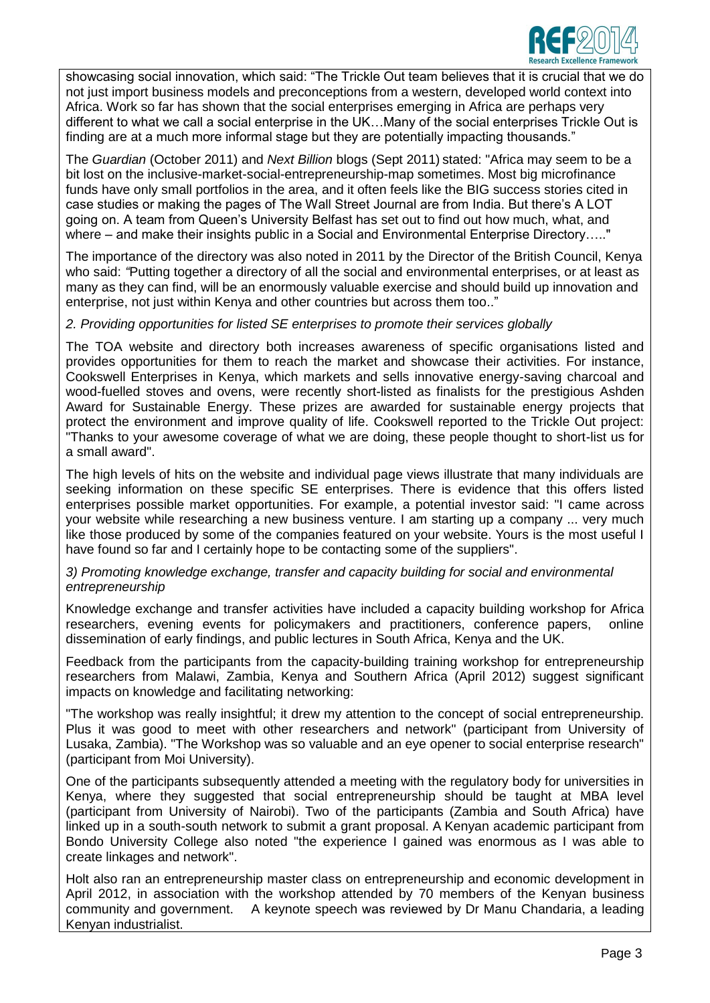

showcasing social innovation, which said: "The Trickle Out team believes that it is crucial that we do not just import business models and preconceptions from a western, developed world context into Africa. Work so far has shown that the social enterprises emerging in Africa are perhaps very different to what we call a social enterprise in the UK…Many of the social enterprises Trickle Out is finding are at a much more informal stage but they are potentially impacting thousands."

The *Guardian* (October 2011) and *Next Billion* blogs (Sept 2011) stated: "Africa may seem to be a bit lost on the inclusive-market-social-entrepreneurship-map sometimes. Most big microfinance funds have only small portfolios in the area, and it often feels like the BIG success stories cited in case studies or making the pages of The Wall Street Journal are from India. But there's A LOT going on. A team from Queen's University Belfast has set out to find out how much, what, and where – and make their insights public in a Social and Environmental Enterprise Directory....."

The importance of the directory was also noted in 2011 by the Director of the British Council, Kenya who said: *"*Putting together a directory of all the social and environmental enterprises, or at least as many as they can find, will be an enormously valuable exercise and should build up innovation and enterprise, not just within Kenya and other countries but across them too.."

## *2. Providing opportunities for listed SE enterprises to promote their services globally*

The TOA website and directory both increases awareness of specific organisations listed and provides opportunities for them to reach the market and showcase their activities. For instance, Cookswell Enterprises in Kenya, which markets and sells innovative energy-saving charcoal and wood-fuelled stoves and ovens, were recently short-listed as finalists for the prestigious Ashden Award for Sustainable Energy. These prizes are awarded for sustainable energy projects that protect the environment and improve quality of life. Cookswell reported to the Trickle Out project: "Thanks to your awesome coverage of what we are doing, these people thought to short-list us for a small award".

The high levels of hits on the website and individual page views illustrate that many individuals are seeking information on these specific SE enterprises. There is evidence that this offers listed enterprises possible market opportunities. For example, a potential investor said: "I came across your website while researching a new business venture. I am starting up a company ... very much like those produced by some of the companies featured on your website. Yours is the most useful I have found so far and I certainly hope to be contacting some of the suppliers".

#### *3) Promoting knowledge exchange, transfer and capacity building for social and environmental entrepreneurship*

Knowledge exchange and transfer activities have included a capacity building workshop for Africa researchers, evening events for policymakers and practitioners, conference papers, online dissemination of early findings, and public lectures in South Africa, Kenya and the UK.

Feedback from the participants from the capacity-building training workshop for entrepreneurship researchers from Malawi, Zambia, Kenya and Southern Africa (April 2012) suggest significant impacts on knowledge and facilitating networking:

"The workshop was really insightful; it drew my attention to the concept of social entrepreneurship. Plus it was good to meet with other researchers and network" (participant from University of Lusaka, Zambia). "The Workshop was so valuable and an eye opener to social enterprise research" (participant from Moi University).

One of the participants subsequently attended a meeting with the regulatory body for universities in Kenya, where they suggested that social entrepreneurship should be taught at MBA level (participant from University of Nairobi). Two of the participants (Zambia and South Africa) have linked up in a south-south network to submit a grant proposal. A Kenyan academic participant from Bondo University College also noted "the experience I gained was enormous as I was able to create linkages and network".

Holt also ran an entrepreneurship master class on entrepreneurship and economic development in April 2012, in association with the workshop attended by 70 members of the Kenyan business community and government. A keynote speech was reviewed by Dr Manu Chandaria, a leading Kenyan industrialist.